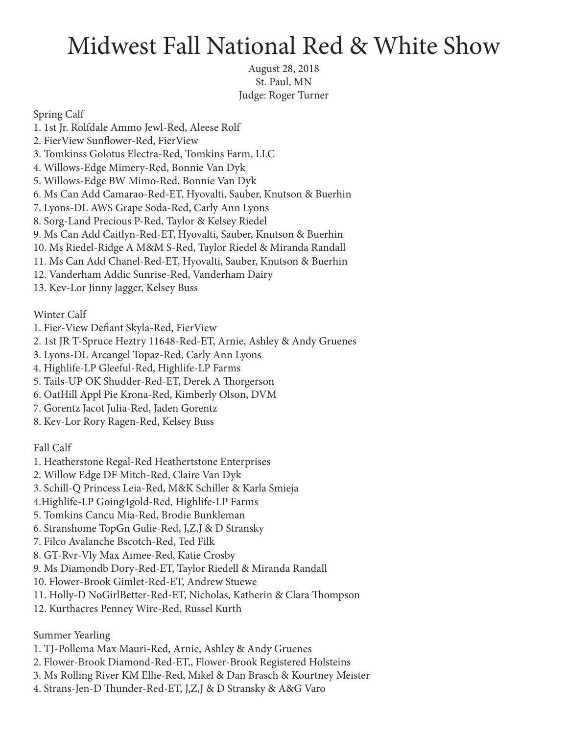## Midwest Fall National Red & White Show

August 28, 2018 St. Paul, MN Judge: Roger Turner

Spring Calf

- 1. 1st Jr. Rolfdale Ammo Jewl-Red, Aleese Rolf
- 2. FierView Sunflower-Red, FierView
- 3. Tomkinss Golotus Electra-Red, Tomkins Farm, LLC
- 4. Willows-Edge Mimery-Red, Bonnie Van Dyk
- 5. Willows-Edge BW Mimo-Red, Bonnie Van Dyk
- 6. Ms Can Add Camarao-Red-ET, Hyovalti, Sauber, Knutson & Buerhin
- 7. Lyons-DL AWS Grape Soda-Red, Carly Ann Lyons
- 8. Sorg-Land Precious P-Red, Taylor & Kelsey Riedel
- 9. Ms Can Add Caitlyn-Red-ET, Hyovalti, Sauber, Knutson & Buerhin
- 10. Ms Riedel-Ridge A M&M S-Red, Taylor Riedel & Miranda Randall
- 11. Ms Can Add Chanel-Red-ET, Hyovalti, Sauber, Knutson & Buerhin
- 12. Vanderham Addic Sunrise-Red, Vanderham Dairy
- 13. Kev-Lor Jinny Jagger, Kelsey Buss

Winter Calf

- 1. Fier-View Defiant Skyla-Red, FierView
- 2. 1st JR T-Spruce Heztry 11648-Red-ET, Arnie, Ashley & Andy Gruenes
- 3. Lyons-DL Arcangel Topaz-Red, Carly Ann Lyons
- 4. Highlife-LP Gleeful-Red, Highlife-LP Farms
- 5. Tails-UP OK Shudder-Red-ET, Derek A Thorgerson
- 6. OatHill Appl Pie Krona-Red, Kimberly Olson, DVM
- 7. Gorentz Jacot Julia-Red, Jaden Gorentz
- 8. Kev-Lor Rory Ragen-Red, Kelsey Buss

Fall Calf

- 1. Heatherstone Regal-Red Heathertstone Enterprises
- 2. Willow Edge DF Mitch-Red, Claire Van Dyk
- 3. Schill-Q Princess Leia-Red, M&K Schiller & Karla Smieja
- 4.Highlife-LP Going4gold-Red, Highlife-LP Farms
- 5. Tomkins Cancu Mia-Red, Brodie Bunkleman
- 6. Stranshome TopGn Gulie-Red, J,Z,J & D Stransky
- 7. Filco Avalanche Bscotch-Red, Ted Filk
- 8. GT-Rvr-Vly Max Aimee-Red, Katie Crosby
- 9. Ms Diamondb Dory-Red-ET, Taylor Riedell & Miranda Randall
- 10. Flower-Brook Gimlet-Red-ET, Andrew Stuewe
- 11. Holly-D NoGirlBetter-Red-ET, Nicholas, Katherin & Clara Thompson
- 12. Kurthacres Penney Wire-Red, Russel Kurth

Summer Yearling

- 1. TJ-Pollema Max Mauri-Red, Arnie, Ashley & Andy Gruenes
- 2. Flower-Brook Diamond-Red-ET,, Flower-Brook Registered Holsteins
- 3. Ms Rolling River KM Ellie-Red, Mikel & Dan Brasch & Kourtney Meister
- 4. Strans-Jen-D Thunder-Red-ET, J,Z,J & D Stransky & A&G Varo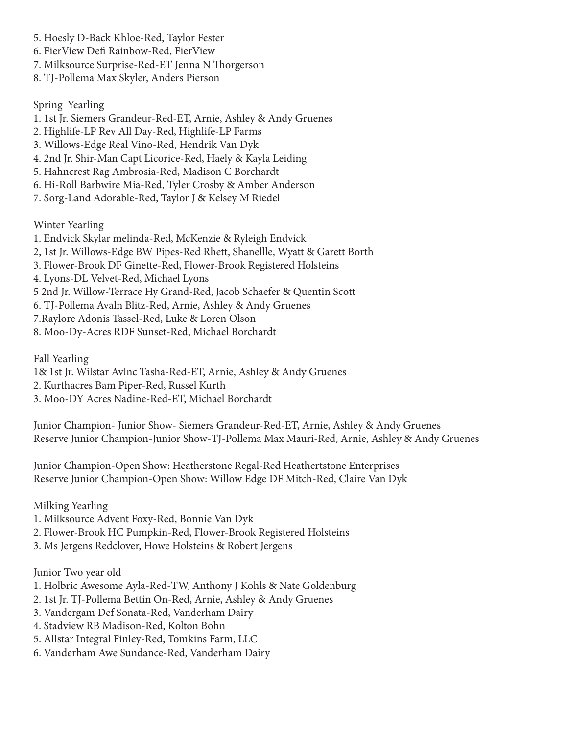- 5. Hoesly D-Back Khloe-Red, Taylor Fester
- 6. FierView Defi Rainbow-Red, FierView
- 7. Milksource Surprise-Red-ET Jenna N Thorgerson
- 8. TJ-Pollema Max Skyler, Anders Pierson

Spring Yearling

- 1. 1st Jr. Siemers Grandeur-Red-ET, Arnie, Ashley & Andy Gruenes
- 2. Highlife-LP Rev All Day-Red, Highlife-LP Farms
- 3. Willows-Edge Real Vino-Red, Hendrik Van Dyk
- 4. 2nd Jr. Shir-Man Capt Licorice-Red, Haely & Kayla Leiding
- 5. Hahncrest Rag Ambrosia-Red, Madison C Borchardt
- 6. Hi-Roll Barbwire Mia-Red, Tyler Crosby & Amber Anderson
- 7. Sorg-Land Adorable-Red, Taylor J & Kelsey M Riedel

Winter Yearling

- 1. Endvick Skylar melinda-Red, McKenzie & Ryleigh Endvick
- 2, 1st Jr. Willows-Edge BW Pipes-Red Rhett, Shanellle, Wyatt & Garett Borth
- 3. Flower-Brook DF Ginette-Red, Flower-Brook Registered Holsteins
- 4. Lyons-DL Velvet-Red, Michael Lyons
- 5 2nd Jr. Willow-Terrace Hy Grand-Red, Jacob Schaefer & Quentin Scott
- 6. TJ-Pollema Avaln Blitz-Red, Arnie, Ashley & Andy Gruenes
- 7.Raylore Adonis Tassel-Red, Luke & Loren Olson
- 8. Moo-Dy-Acres RDF Sunset-Red, Michael Borchardt

Fall Yearling

- 1& 1st Jr. Wilstar Avlnc Tasha-Red-ET, Arnie, Ashley & Andy Gruenes
- 2. Kurthacres Bam Piper-Red, Russel Kurth
- 3. Moo-DY Acres Nadine-Red-ET, Michael Borchardt

Junior Champion- Junior Show- Siemers Grandeur-Red-ET, Arnie, Ashley & Andy Gruenes Reserve Junior Champion-Junior Show-TJ-Pollema Max Mauri-Red, Arnie, Ashley & Andy Gruenes

Junior Champion-Open Show: Heatherstone Regal-Red Heathertstone Enterprises Reserve Junior Champion-Open Show: Willow Edge DF Mitch-Red, Claire Van Dyk

Milking Yearling

- 1. Milksource Advent Foxy-Red, Bonnie Van Dyk
- 2. Flower-Brook HC Pumpkin-Red, Flower-Brook Registered Holsteins
- 3. Ms Jergens Redclover, Howe Holsteins & Robert Jergens

Junior Two year old

- 1. Holbric Awesome Ayla-Red-TW, Anthony J Kohls & Nate Goldenburg
- 2. 1st Jr. TJ-Pollema Bettin On-Red, Arnie, Ashley & Andy Gruenes
- 3. Vandergam Def Sonata-Red, Vanderham Dairy
- 4. Stadview RB Madison-Red, Kolton Bohn
- 5. Allstar Integral Finley-Red, Tomkins Farm, LLC
- 6. Vanderham Awe Sundance-Red, Vanderham Dairy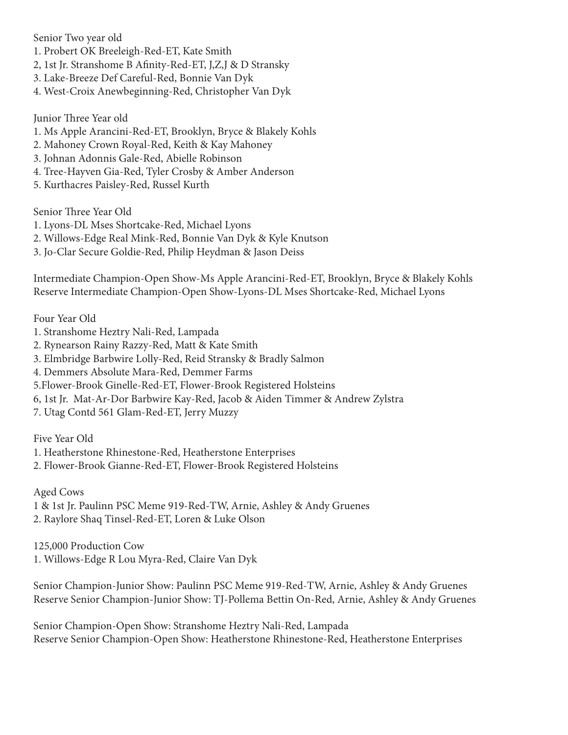Senior Two year old

- 1. Probert OK Breeleigh-Red-ET, Kate Smith
- 2, 1st Jr. Stranshome B Afinity-Red-ET, J,Z,J & D Stransky
- 3. Lake-Breeze Def Careful-Red, Bonnie Van Dyk
- 4. West-Croix Anewbeginning-Red, Christopher Van Dyk

Junior Three Year old

- 1. Ms Apple Arancini-Red-ET, Brooklyn, Bryce & Blakely Kohls
- 2. Mahoney Crown Royal-Red, Keith & Kay Mahoney
- 3. Johnan Adonnis Gale-Red, Abielle Robinson
- 4. Tree-Hayven Gia-Red, Tyler Crosby & Amber Anderson
- 5. Kurthacres Paisley-Red, Russel Kurth

Senior Three Year Old

- 1. Lyons-DL Mses Shortcake-Red, Michael Lyons
- 2. Willows-Edge Real Mink-Red, Bonnie Van Dyk & Kyle Knutson
- 3. Jo-Clar Secure Goldie-Red, Philip Heydman & Jason Deiss

Intermediate Champion-Open Show-Ms Apple Arancini-Red-ET, Brooklyn, Bryce & Blakely Kohls Reserve Intermediate Champion-Open Show-Lyons-DL Mses Shortcake-Red, Michael Lyons

Four Year Old

- 1. Stranshome Heztry Nali-Red, Lampada
- 2. Rynearson Rainy Razzy-Red, Matt & Kate Smith
- 3. Elmbridge Barbwire Lolly-Red, Reid Stransky & Bradly Salmon
- 4. Demmers Absolute Mara-Red, Demmer Farms
- 5.Flower-Brook Ginelle-Red-ET, Flower-Brook Registered Holsteins
- 6, 1st Jr. Mat-Ar-Dor Barbwire Kay-Red, Jacob & Aiden Timmer & Andrew Zylstra
- 7. Utag Contd 561 Glam-Red-ET, Jerry Muzzy

Five Year Old

- 1. Heatherstone Rhinestone-Red, Heatherstone Enterprises
- 2. Flower-Brook Gianne-Red-ET, Flower-Brook Registered Holsteins

Aged Cows

1 & 1st Jr. Paulinn PSC Meme 919-Red-TW, Arnie, Ashley & Andy Gruenes 2. Raylore Shaq Tinsel-Red-ET, Loren & Luke Olson

125,000 Production Cow 1. Willows-Edge R Lou Myra-Red, Claire Van Dyk

Senior Champion-Junior Show: Paulinn PSC Meme 919-Red-TW, Arnie, Ashley & Andy Gruenes Reserve Senior Champion-Junior Show: TJ-Pollema Bettin On-Red, Arnie, Ashley & Andy Gruenes

Senior Champion-Open Show: Stranshome Heztry Nali-Red, Lampada Reserve Senior Champion-Open Show: Heatherstone Rhinestone-Red, Heatherstone Enterprises